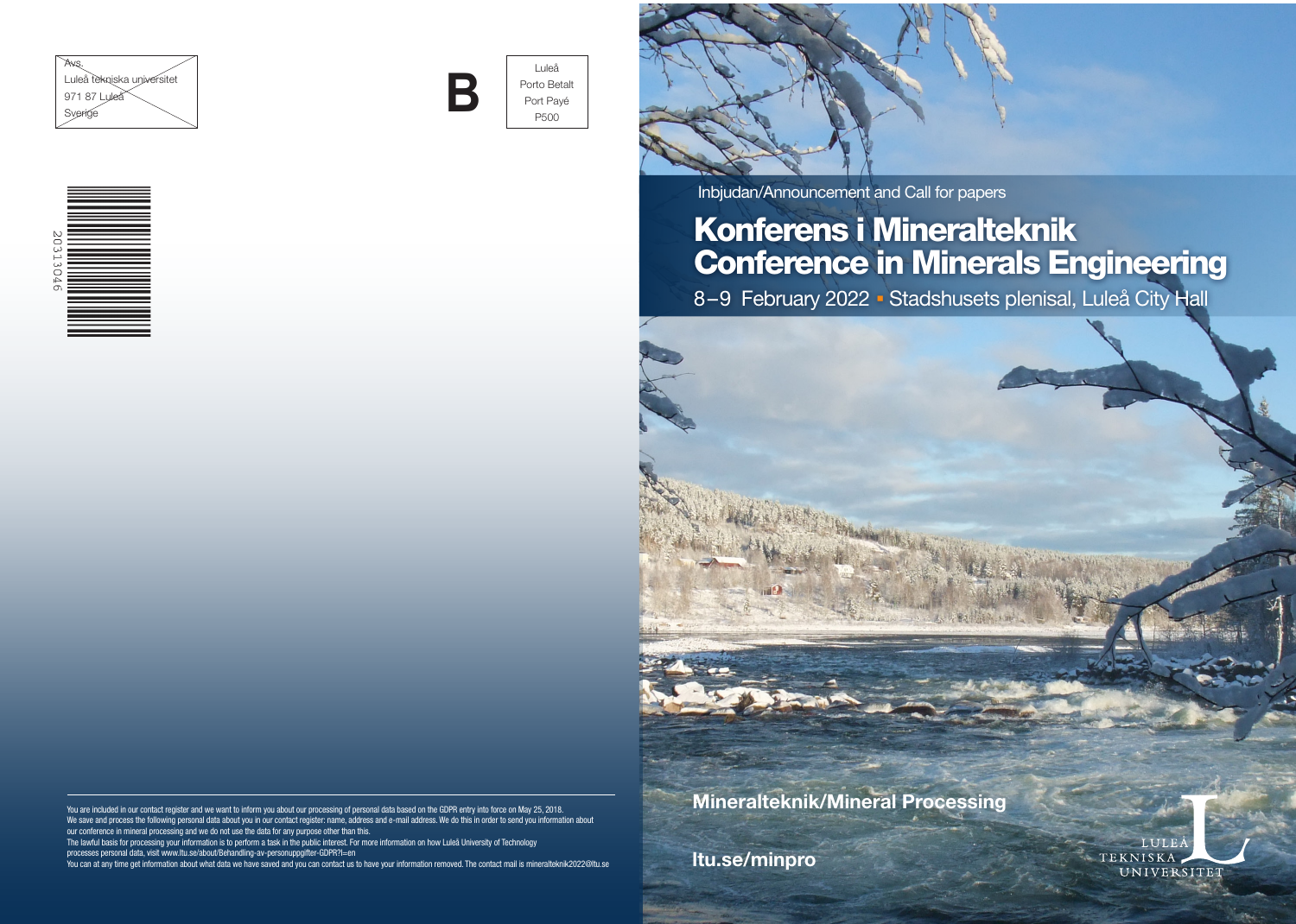





Luleå Porto Betalt Porto Betal<br>Port Payé P500



Inbjudan/Announcement and Call for papers

# Konferens i Mineralteknik Conference in Minerals Engineering

8-9 February 2022 - Stadshusets plenisal, Luleå City Hall



TEKNISKA

UNIVERSITET

We save and process the following personal data about you in our contact register: name, address and e-mail address. We do this in order to send you information about our conference in mineral processing and we do not use the data for any purpose other than this.

The lawful basis for processing your information is to perform a task in the public interest. For more information on how Luleå University of Technology processes personal data, visit www.ltu.se/about/Behandling-av-personuppgifter-GDPR?l=en

You can at any time get information about what data we have saved and you can contact us to have your information removed. The contact mail is mineralteknik2022@ltu.se

ltu.se/minpro